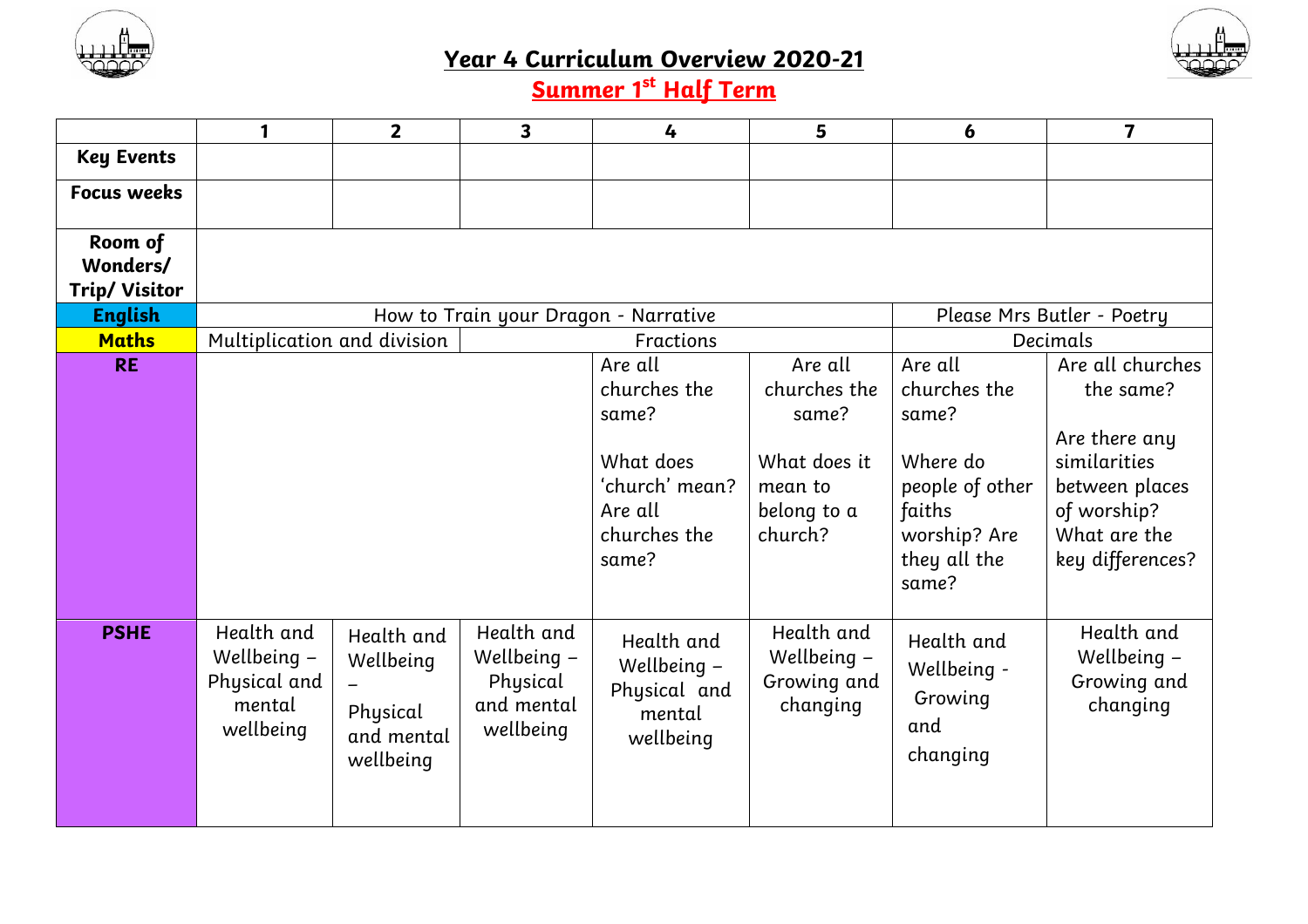



## **Year 4 Curriculum Overview 2020-21**

**Summer 1 st Half Term**

|                                             |                                                                    | $\overline{2}$                                                 | 3                                                                | 4                                                                                                   | 5                                                                                     | 6                                                                                                                  | 7                                                                                                                                   |  |  |
|---------------------------------------------|--------------------------------------------------------------------|----------------------------------------------------------------|------------------------------------------------------------------|-----------------------------------------------------------------------------------------------------|---------------------------------------------------------------------------------------|--------------------------------------------------------------------------------------------------------------------|-------------------------------------------------------------------------------------------------------------------------------------|--|--|
| <b>Key Events</b>                           |                                                                    |                                                                |                                                                  |                                                                                                     |                                                                                       |                                                                                                                    |                                                                                                                                     |  |  |
| <b>Focus weeks</b>                          |                                                                    |                                                                |                                                                  |                                                                                                     |                                                                                       |                                                                                                                    |                                                                                                                                     |  |  |
| Room of<br>Wonders/<br><b>Trip/ Visitor</b> |                                                                    |                                                                |                                                                  |                                                                                                     |                                                                                       |                                                                                                                    |                                                                                                                                     |  |  |
| <b>English</b>                              | Please Mrs Butler - Poetry<br>How to Train your Dragon - Narrative |                                                                |                                                                  |                                                                                                     |                                                                                       |                                                                                                                    |                                                                                                                                     |  |  |
| <b>Maths</b>                                | Multiplication and division                                        |                                                                | Decimals                                                         |                                                                                                     |                                                                                       |                                                                                                                    |                                                                                                                                     |  |  |
| <b>RE</b>                                   |                                                                    |                                                                |                                                                  | Are all<br>churches the<br>same?<br>What does<br>'church' mean?<br>Are all<br>churches the<br>same? | Are all<br>churches the<br>same?<br>What does it<br>mean to<br>belong to a<br>church? | Are all<br>churches the<br>same?<br>Where do<br>people of other<br>faiths<br>worship? Are<br>they all the<br>same? | Are all churches<br>the same?<br>Are there any<br>similarities<br>between places<br>of worship?<br>What are the<br>key differences? |  |  |
| <b>PSHE</b>                                 | Health and<br>Wellbeing -<br>Physical and<br>mental<br>wellbeing   | Health and<br>Wellbeing<br>Physical<br>and mental<br>wellbeing | Health and<br>Wellbeing -<br>Physical<br>and mental<br>wellbeing | Health and<br>Wellbeing -<br>Physical and<br>mental<br>wellbeing                                    | Health and<br>Wellbeing -<br>Growing and<br>changing                                  | Health and<br>Wellbeing -<br>Growing<br>and<br>changing                                                            | Health and<br>Wellbeing -<br>Growing and<br>changing                                                                                |  |  |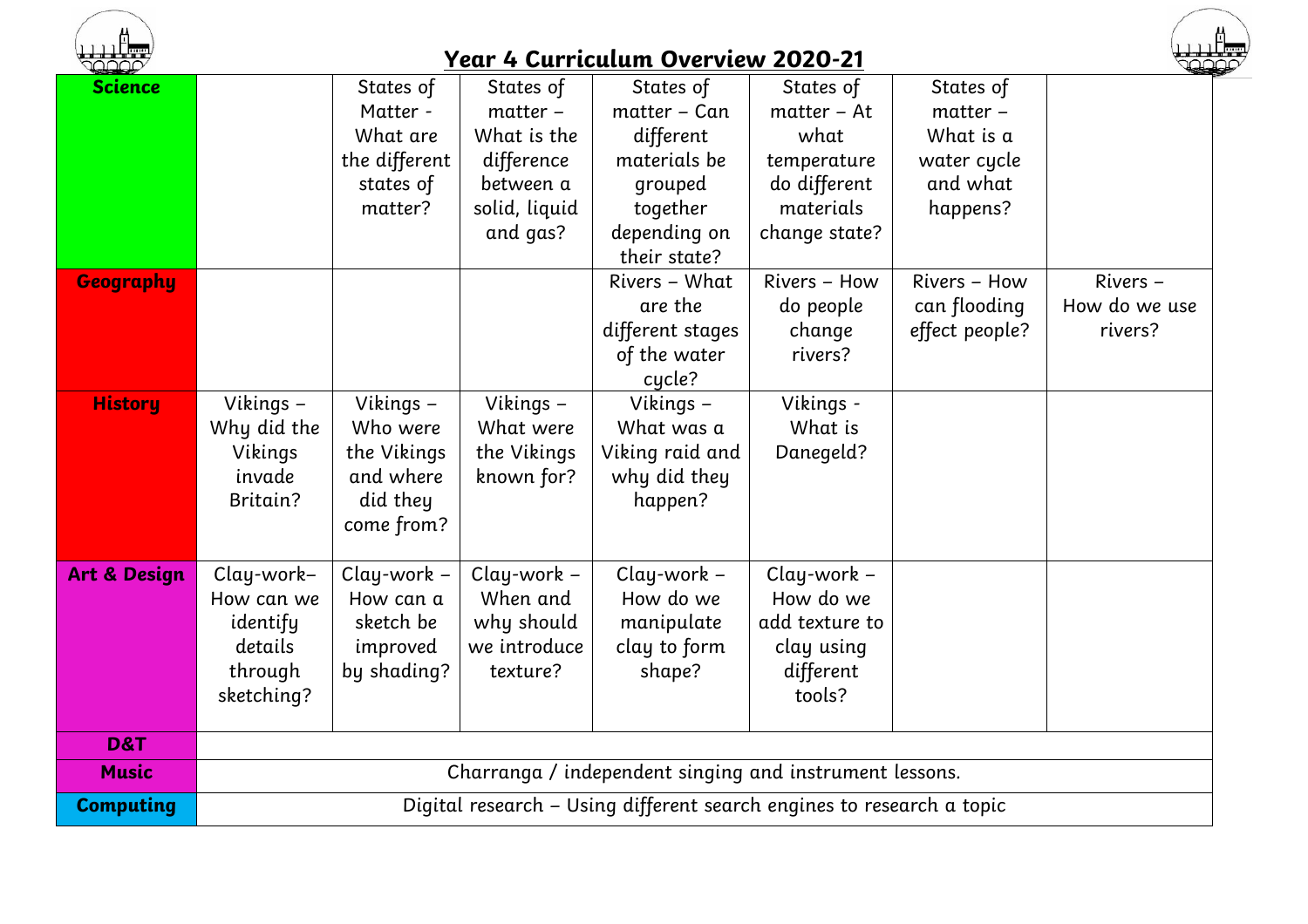

## **Year 4 Curriculum Overview 2020-21**



| the dealer of           |                                                                       |               |                | T VAITIVAIAIII UYVI YIVW LULU LI |                |                | استعا         |  |  |
|-------------------------|-----------------------------------------------------------------------|---------------|----------------|----------------------------------|----------------|----------------|---------------|--|--|
| <b>Science</b>          |                                                                       | States of     | States of      | States of                        | States of      | States of      |               |  |  |
|                         |                                                                       | Matter -      | $matter -$     | matter - Can                     | $matter - At$  | matter -       |               |  |  |
|                         |                                                                       | What are      | What is the    | different                        | what           | What is a      |               |  |  |
|                         |                                                                       | the different | difference     | materials be                     | temperature    | water cycle    |               |  |  |
|                         |                                                                       | states of     | between a      | grouped                          | do different   | and what       |               |  |  |
|                         |                                                                       | matter?       | solid, liquid  | together                         | materials      | happens?       |               |  |  |
|                         |                                                                       |               | and gas?       | depending on                     | change state?  |                |               |  |  |
|                         |                                                                       |               |                | their state?                     |                |                |               |  |  |
| <b>Geography</b>        |                                                                       |               |                | Rivers – What                    | Rivers - How   | Rivers - How   | Rivers -      |  |  |
|                         |                                                                       |               |                | are the                          | do people      | can flooding   | How do we use |  |  |
|                         |                                                                       |               |                | different stages                 | change         | effect people? | rivers?       |  |  |
|                         |                                                                       |               |                | of the water                     | rivers?        |                |               |  |  |
|                         |                                                                       |               |                | cycle?                           |                |                |               |  |  |
| <b>History</b>          | Vikings -                                                             | Vikings -     | Vikings -      | Vikings -                        | Vikings -      |                |               |  |  |
|                         | Why did the                                                           | Who were      | What were      | What was a                       | What is        |                |               |  |  |
|                         | Vikings                                                               | the Vikings   | the Vikings    | Viking raid and                  | Danegeld?      |                |               |  |  |
|                         | invade                                                                | and where     | known for?     | why did they                     |                |                |               |  |  |
|                         | Britain?                                                              | did they      |                | happen?                          |                |                |               |  |  |
|                         |                                                                       | come from?    |                |                                  |                |                |               |  |  |
|                         |                                                                       |               |                |                                  |                |                |               |  |  |
| <b>Art &amp; Design</b> | Clay-work-                                                            | Clay-work -   | $Clay$ -work - | $Clay$ -work -                   | $Clay$ -work - |                |               |  |  |
|                         | How can we                                                            | How can a     | When and       | How do we                        | How do we      |                |               |  |  |
|                         | identify                                                              | sketch be     | why should     | manipulate                       | add texture to |                |               |  |  |
|                         | details                                                               | improved      | we introduce   | clay to form                     | clay using     |                |               |  |  |
|                         | through                                                               | by shading?   | texture?       | shape?                           | different      |                |               |  |  |
|                         | sketching?                                                            |               |                |                                  | tools?         |                |               |  |  |
| D&T                     |                                                                       |               |                |                                  |                |                |               |  |  |
| <b>Music</b>            |                                                                       |               |                |                                  |                |                |               |  |  |
|                         | Charranga / independent singing and instrument lessons.               |               |                |                                  |                |                |               |  |  |
| <b>Computing</b>        | Digital research - Using different search engines to research a topic |               |                |                                  |                |                |               |  |  |